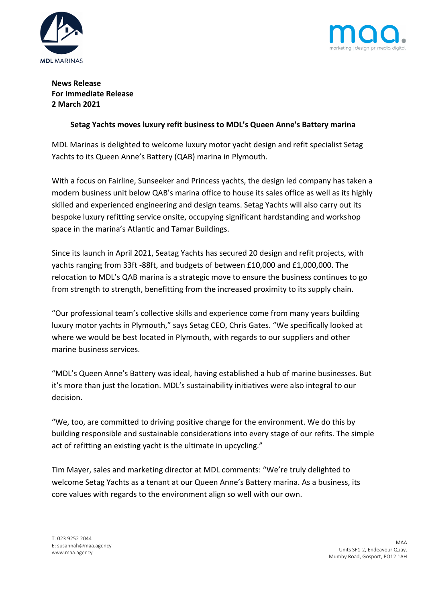



**News Release For Immediate Release 2 March 2021**

## **Setag Yachts moves luxury refit business to MDL's Queen Anne's Battery marina**

MDL Marinas is delighted to welcome luxury motor yacht design and refit specialist Setag Yachts to its Queen Anne's Battery (QAB) marina in Plymouth.

With a focus on Fairline, Sunseeker and Princess yachts, the design led company has taken a modern business unit below QAB's marina office to house its sales office as well as its highly skilled and experienced engineering and design teams. Setag Yachts will also carry out its bespoke luxury refitting service onsite, occupying significant hardstanding and workshop space in the marina's Atlantic and Tamar Buildings.

Since its launch in April 2021, Seatag Yachts has secured 20 design and refit projects, with yachts ranging from 33ft -88ft, and budgets of between £10,000 and £1,000,000. The relocation to MDL's QAB marina is a strategic move to ensure the business continues to go from strength to strength, benefitting from the increased proximity to its supply chain.

"Our professional team's collective skills and experience come from many years building luxury motor yachts in Plymouth," says Setag CEO, Chris Gates. "We specifically looked at where we would be best located in Plymouth, with regards to our suppliers and other marine business services.

"MDL's Queen Anne's Battery was ideal, having established a hub of marine businesses. But it's more than just the location. MDL's sustainability initiatives were also integral to our decision.

"We, too, are committed to driving positive change for the environment. We do this by building responsible and sustainable considerations into every stage of our refits. The simple act of refitting an existing yacht is the ultimate in upcycling."

Tim Mayer, sales and marketing director at MDL comments: "We're truly delighted to welcome Setag Yachts as a tenant at our Queen Anne's Battery marina. As a business, its core values with regards to the environment align so well with our own.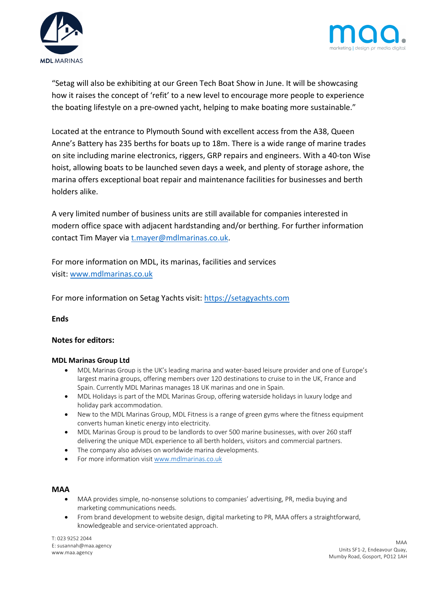



"Setag will also be exhibiting at our Green Tech Boat Show in June. It will be showcasing how it raises the concept of 'refit' to a new level to encourage more people to experience the boating lifestyle on a pre-owned yacht, helping to make boating more sustainable."

Located at the entrance to Plymouth Sound with excellent access from the A38, Queen Anne's Battery has 235 berths for boats up to 18m. There is a wide range of marine trades on site including marine electronics, riggers, GRP repairs and engineers. With a 40-ton Wise hoist, allowing boats to be launched seven days a week, and plenty of storage ashore, the marina offers exceptional boat repair and maintenance facilities for businesses and berth holders alike.

A very limited number of business units are still available for companies interested in modern office space with adjacent hardstanding and/or berthing. For further information contact Tim Mayer via t.mayer@mdlmarinas.co.uk.

For more information on MDL, its marinas, facilities and services visit: www.mdlmarinas.co.uk

For more information on Setag Yachts visit: https://setagyachts.com

**Ends**

## **Notes for editors:**

## **MDL Marinas Group Ltd**

- MDL Marinas Group is the UK's leading marina and water-based leisure provider and one of Europe's largest marina groups, offering members over 120 destinations to cruise to in the UK, France and Spain. Currently MDL Marinas manages 18 UK marinas and one in Spain.
- MDL Holidays is part of the MDL Marinas Group, offering waterside holidays in luxury lodge and holiday park accommodation.
- New to the MDL Marinas Group, MDL Fitness is a range of green gyms where the fitness equipment converts human kinetic energy into electricity.
- MDL Marinas Group is proud to be landlords to over 500 marine businesses, with over 260 staff delivering the unique MDL experience to all berth holders, visitors and commercial partners.
- The company also advises on worldwide marina developments.
- For more information visit www.mdlmarinas.co.uk

## **MAA**

- MAA provides simple, no-nonsense solutions to companies' advertising, PR, media buying and marketing communications needs.
- From brand development to website design, digital marketing to PR, MAA offers a straightforward, knowledgeable and service-orientated approach.

T: 023 9252 2044 E: susannah@maa.agency www.maa.agency

MAA Units SF1-2, Endeavour Quay, Mumby Road, Gosport, PO12 1AH